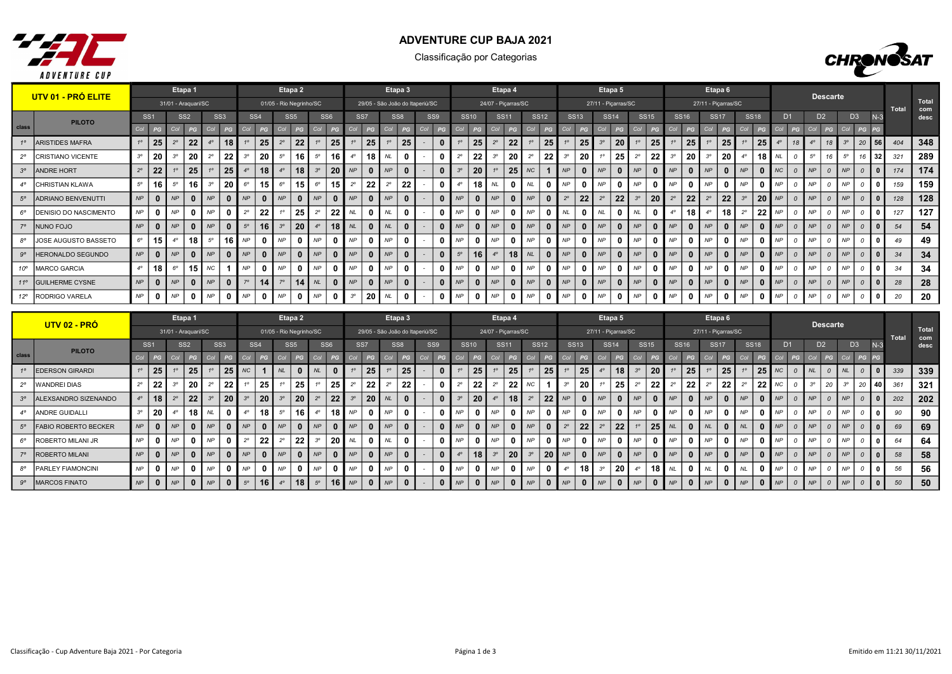

## ADVENTURE CUP BAJA 2021

Classificação por Categorias



|              | UTV 01 - PRÓ ELITE       |             |                 |           | Etapa 1             |             |                 |             |                 |                         | Etapa 2         |             |                 |                |                 |                                 | Etapa 3         |                |             |                 |                | Etapa 4             |             |             |             |             |                | Etapa 5             |             |                 |             |                 |                     | Etapa 6            |             |              |           |                |           | <b>Descarte</b> |           |                |              |       |              |
|--------------|--------------------------|-------------|-----------------|-----------|---------------------|-------------|-----------------|-------------|-----------------|-------------------------|-----------------|-------------|-----------------|----------------|-----------------|---------------------------------|-----------------|----------------|-------------|-----------------|----------------|---------------------|-------------|-------------|-------------|-------------|----------------|---------------------|-------------|-----------------|-------------|-----------------|---------------------|--------------------|-------------|--------------|-----------|----------------|-----------|-----------------|-----------|----------------|--------------|-------|--------------|
|              |                          |             |                 |           | 31/01 - Araquari/SC |             |                 |             |                 | 01/05 - Rio Negrinho/SC |                 |             |                 |                |                 | 29/05 - São João do Itaperiú/SC |                 |                |             |                 |                | 24/07 - Picarras/SC |             |             |             |             |                | 27/11 - Piçarras/SC |             |                 |             |                 | 27/11 - Piçarras/SC |                    |             |              |           |                |           |                 |           |                |              | Total | Total<br>com |
|              | <b>PILOTO</b>            |             | SS <sub>1</sub> |           | SS <sub>2</sub>     |             | SS <sub>3</sub> |             | SS <sub>4</sub> |                         | SS <sub>5</sub> |             | SS <sub>6</sub> |                | SS <sub>7</sub> |                                 | SS <sub>8</sub> | SS9            |             | <b>SS10</b>     |                | <b>SS11</b>         |             | <b>SS12</b> |             | <b>SS13</b> |                | <b>SS14</b>         |             | <b>SS15</b>     |             | <b>SS16</b>     | <b>SS17</b>         |                    |             | <b>SS18</b>  |           | D <sub>1</sub> |           | D <sub>2</sub>  |           | D <sub>3</sub> | $N-3$        |       | desc         |
| class        |                          | Col         | PG              |           | PG                  |             |                 |             |                 |                         |                 |             |                 |                |                 | Co                              |                 |                |             |                 |                |                     |             |             |             |             |                |                     |             |                 |             |                 |                     |                    |             |              |           |                |           |                 |           |                | PG.          |       |              |
| 10           | ARISTIDES MAFRA          | $1^{\circ}$ | 25              | $2^\circ$ | 22                  | $4^\circ$   |                 |             | 25              | $2^{\circ}$             | 22              | 10          | 25              |                | 25 <sub>1</sub> | 1 <sup>c</sup>                  | 25              | $\mathbf{0}$   | 10          | 25              | $2^{\circ}$    | 22                  | 10          | 25          |             | 25          | 3 <sup>o</sup> | 20                  | 10          | 25 <sup>7</sup> | $1^{\circ}$ | 25 <sub>1</sub> | 10                  | 25                 |             | 25           | $4^\circ$ | 18             |           |                 | $3^\circ$ | 20             | 56           | 404   | 348          |
| $2^{\circ}$  | <b>CRISTIANO VICENTE</b> | $3^{\circ}$ | 20              |           | 20                  | $2^{\circ}$ | 22              |             | 20              | $5^\circ$               | 16              | $5^\circ$   | 16              |                | 18              | <b>NL</b>                       | 0               | $\mathbf{0}$   | $2^{\circ}$ | 22              | 3 <sup>o</sup> | 20                  | $2^{\circ}$ | 22          |             | 20          |                | 25                  | $2^{\circ}$ | 22              |             | 20              | $3^\circ$           | 20                 |             | 18           | <b>NL</b> |                | $5^\circ$ | 16              | $5^\circ$ |                | 32           | 321   | 289          |
|              | 3° ANDRE HORT            | $2^{\circ}$ | 22              |           | 25                  |             | 25              |             | 18              |                         | 18              |             | 20              | NP             |                 | <b>NP</b>                       | $\bf{0}$        | $\mathbf{0}$   | $3^{\circ}$ | 20              |                | 25                  | <b>NC</b>   |             | NP          |             | NP             |                     | NP          |                 | NP          | $\bf{0}$        | NP                  |                    | <b>NP</b>   | - 0          | NC        |                | NP        | $\mathcal{O}$   | <b>NP</b> |                |              | 174   | 174          |
| $4^\circ$    | <b>CHRISTIAN KLAWA</b>   | $5^\circ$   | 16              | $5^\circ$ | 16                  | $3^{\circ}$ | 20 <sup>1</sup> | $6^\circ$   | 15              | $6^{\circ}$             | 15              | $6^{\circ}$ | 15              | $2^{\circ}$    | 22              | 2 <sup>c</sup>                  | 22              | $\mathbf{0}$   | $4^\circ$   |                 | NL             |                     | <b>NL</b>   |             | NP          |             | NP             |                     | NP          |                 | NP          | 0               | <b>NP</b>           | n                  | NP          | $\mathbf{0}$ | NP        |                | NP        |                 | NP        |                | 0            | 159   | 159          |
| $5^\circ$    | ADRIANO BENVENUTTI       | NP          | $\mathbf{0}$    | NP        | $\mathbf{0}$        | NP          |                 | NP          |                 | NP                      |                 | NP          |                 | NP             |                 | NP                              | $\Omega$        | $\Omega$       | NP          | $\mathbf{0}$    | <b>NP</b>      |                     | NP          |             | $2^{\circ}$ | 22          | $2^{\circ}$    | 22                  |             | 20 <sub>1</sub> | $2^{\circ}$ | 22              | $2^{\circ}$         | 22                 |             | 20           | NP        |                | NP        | $\mathcal{O}$   | NP        |                |              | 128   | 128          |
| $6^{\circ}$  | DENISIO DO NASCIMENTO    | NP          | 0               | NP        | $\mathbf{0}$        | NP          |                 | $2^{\circ}$ | 22              |                         | 25              | $2^{\circ}$ | 22              | <b>NL</b>      | -0              | <b>NL</b>                       | 0               | 0              | <b>NP</b>   | 0               | NP             |                     | <b>NP</b>   |             | <b>NL</b>   |             | NL             |                     | <b>NL</b>   |                 |             | 18              | $4^\circ$           | 18                 | $2^{\circ}$ | 22           | NP        |                | NP        |                 | <b>NP</b> |                | $\Omega$     | 127   | 127          |
| $7^\circ$    | NUNO FOJO                | NP          | $\bf{0}$        | NP        | $\mathbf{0}$        | <b>NP</b>   |                 | $5^\circ$   | 16              |                         | 20              |             | 18              |                |                 | NL                              |                 | $\Omega$       | NP          | $\mathbf{0}$    | <b>NP</b>      |                     | NP          |             | NP          |             | NP             |                     | NP          |                 | NP          | $\mathbf{0}$    | <b>NP</b>           |                    | <b>NP</b>   | - 0          | NP        |                | <b>NP</b> | $\Omega$        | NP        |                |              | 54    | 54           |
| $8^{\circ}$  | JOSE AUGUSTO BASSETO     | $6^{\circ}$ | 15              |           | 18                  | $5^{\circ}$ | 16              | <b>NP</b>   |                 | NP                      |                 | NP          |                 | NP             |                 | <b>NP</b>                       |                 | $\mathbf{0}$   | <b>NP</b>   | 0               | <b>NP</b>      |                     | <b>NP</b>   |             | NP          |             | NP             |                     | NP          |                 | NP          | 0               | <b>NP</b>           |                    | <b>NP</b>   | $\Omega$     | NP        |                | NP        |                 | <b>NP</b> |                | 0            | 49    | 49           |
| $9^\circ$    | <b>HERONALDO SEGUNDO</b> | NP          | $\mathbf{0}$    | NP        | $\mathbf{0}$        | NP          |                 | NP          |                 | <b>NP</b>               |                 | NP          |                 | NP             |                 | NP                              | $\mathbf{0}$    | $\overline{0}$ | $5^\circ$   | 16 <sup>1</sup> | $4^\circ$      | 18                  | NL          |             | NP          |             | NP             |                     | NP          |                 | NP          | $\bf{0}$        | NP                  | $\Omega$           | NP          | - 0          | NP        | $\Omega$       | NP        | $\Omega$        | NP        |                |              | 34    | 34           |
| $10^{\circ}$ | MARCO GARCIA             | $4^\circ$   | 18              | $6^\circ$ | 15 <sup>1</sup>     | <b>NC</b>   |                 | NP          |                 | NP                      |                 | NP          |                 | NP             |                 | <b>NP</b>                       | n               | $\mathbf{0}$   | <b>NP</b>   | $\bf{0}$        | NP             |                     | <b>NP</b>   |             | NP          |             | NP             |                     | NP          |                 | <b>NP</b>   | 0               | <b>NP</b>           | $\Omega$           | NP          | $\mathbf{0}$ | NP        |                | NP        |                 | NP        |                | $\mathbf{0}$ | 34    | 34           |
|              | 11° GUILHERME CYSNE      | NP          | $\bf{0}$        | <b>NP</b> | $\mathbf{0}$        | NP          |                 | 70          | 14              |                         | 14              | NL          |                 | NP             |                 | NP                              | $\bf{0}$        | $\mathbf{0}$   | NP          | $\mathbf{0}$    | NP             |                     | NP          |             | NP          |             | NP             |                     | NP          |                 | NP          | $\bf{0}$        | <b>NP</b>           | $\Omega$           | <b>NP</b>   | $\Omega$     | NP        |                | NP        | $\Omega$        | NP        |                |              | 28    | 28           |
|              | 12°   RODRIGO VARELA     | NP          | 0               | NP        | $\mathbf 0$         | . NP        |                 | NP          |                 | NP                      |                 | NP          |                 | 3 <sup>c</sup> | 20              | <b>NL</b>                       |                 | $\mathbf{0}$   | NP          | 0               | NP             |                     | <b>NP</b>   |             | NP          |             | NP             |                     | NP          |                 | NP          | 0               | <b>NP</b>           | 0                  | NP          | 0            | NP        |                | NP        |                 | NP        |                | 0            | 20    | 20           |
|              |                          |             |                 |           |                     |             |                 |             |                 |                         |                 |             |                 |                |                 |                                 |                 |                |             |                 |                |                     |             |             |             |             |                |                     |             |                 |             |                 |                     |                    |             |              |           |                |           |                 |           |                |              |       |              |
|              |                          |             |                 |           | Etapa 1             |             |                 |             |                 |                         | Etapa 2         |             |                 |                |                 |                                 | Etapa 3         |                |             |                 |                | Etapa 4             |             |             |             |             |                | Etapa <sub>5</sub>  |             |                 |             |                 |                     | Etapa <sub>6</sub> |             |              |           |                |           |                 |           |                |              |       |              |

|             | <u> UTV 02 - PRÓ</u>        |           |                 |           | Etapa 1             |             |                 |             |                 |                         | Etapa 2         |                          |                 |           |                 |                                 | Etapa 3         |                |           |              |                     | Etapa 4     |                |              |           |                |                | Etapa 5             |           |                 |             |                 | Etapa <sub>6</sub>  |                           |             |             |                                  |                |             | <b>Descarte</b> |                |                |              |       |              |
|-------------|-----------------------------|-----------|-----------------|-----------|---------------------|-------------|-----------------|-------------|-----------------|-------------------------|-----------------|--------------------------|-----------------|-----------|-----------------|---------------------------------|-----------------|----------------|-----------|--------------|---------------------|-------------|----------------|--------------|-----------|----------------|----------------|---------------------|-----------|-----------------|-------------|-----------------|---------------------|---------------------------|-------------|-------------|----------------------------------|----------------|-------------|-----------------|----------------|----------------|--------------|-------|--------------|
|             |                             |           |                 |           | 31/01 - Araquari/SC |             |                 |             |                 | 01/05 - Rio Negrinho/SC |                 |                          |                 |           |                 | 29/05 - São João do Itaperiú/SC |                 |                |           |              | 24/07 - Picarras/SC |             |                |              |           |                |                | 27/11 - Piçarras/SC |           |                 |             |                 | 27/11 - Piçarras/SC |                           |             |             |                                  |                |             |                 |                |                |              | Total | Total<br>com |
|             | <b>PILOTO</b>               |           | SS <sub>1</sub> |           | SS <sub>2</sub>     |             | SS <sub>3</sub> |             | SS <sub>4</sub> |                         | SS <sub>5</sub> |                          | SS <sub>6</sub> |           | SS <sub>7</sub> |                                 | SS <sub>8</sub> | SS9            |           | <b>SS10</b>  |                     | <b>SS11</b> |                | <b>SS12</b>  |           | <b>SS13</b>    |                | <b>SS14</b>         |           | <b>SS15</b>     | <b>SS16</b> |                 |                     | <b>SS17</b>               |             | <b>SS18</b> |                                  | D <sub>1</sub> |             | D <sub>2</sub>  |                | D <sub>3</sub> | $N-3$        |       | desc         |
| class       |                             | Col       |                 |           |                     |             |                 |             |                 |                         |                 |                          |                 |           |                 |                                 |                 |                |           |              |                     |             |                |              |           |                |                |                     |           |                 |             |                 |                     |                           |             |             |                                  |                |             |                 |                |                | PG           |       |              |
|             | 1º EDERSON GIRARDI          |           | 25              |           | 25'                 |             | 25              | NC          |                 | NL                      |                 | NL                       | $\mathbf{0}$    |           | 25              |                                 | 25              | $\mathbf{0}$   |           | 25           |                     | 25          |                | 25           |           | 25             |                | 18 <sup>1</sup>     |           | 20 <sup>1</sup> |             | 25 <sub>1</sub> |                     | 25                        |             | 25          | NC                               |                |             |                 |                |                |              | 339   | 339          |
| $2^{\circ}$ | <b>WANDREI DIAS</b>         |           | 22              |           | 20                  |             | 22              |             | 25              |                         | 25              |                          | 25              |           | 22              |                                 | 22              | $\mathbf{0}$   | 20        | 22           |                     | 22          | <b>NC</b>      |              |           | 20             |                | 25                  |           | 22              |             | 22              |                     | 22                        | $2^{\circ}$ | 22          | NC                               |                | $3^{\circ}$ | 20              | $3^{\circ}$    | 20             | 40           | 361   | 321          |
| $3^\circ$   | ALEXSANDRO SIZENANDO        |           | 18              |           | 22                  |             | 20              |             | 20              |                         | 20              |                          | 22              |           | 20              |                                 |                 | $\mathbf{0}$   |           | 20           |                     |             | $2^{\circ}$    | 22           | <b>NP</b> | 0 <sup>1</sup> | N <sub>P</sub> |                     | <b>NP</b> |                 | NP          |                 | <b>NP</b>           |                           | $0 \mid NP$ |             | NP                               |                | NP          |                 |                |                |              | 202   | 202          |
| $4^\circ$   | <b>ANDRE GUIDALLI</b>       |           | 20              |           | 18 <sup>1</sup>     |             |                 | $4^\circ$   | 18              | 5°                      | 16              |                          |                 | $18$ $NP$ |                 | <b>NP</b>                       |                 | $\mathbf{0}$   | NP        | $\mathbf{0}$ | <b>NP</b>           |             | NP             |              | <b>NP</b> | οI             | <b>NP</b>      |                     | NP        |                 | <b>NP</b>   |                 | <b>NP</b>           | $\mathbf{0}$              | <b>NP</b>   |             | NP                               |                | <b>NP</b>   |                 | NF             |                |              |       | 90           |
| $5^\circ$   | <b>FABIO ROBERTO BECKER</b> | <b>NP</b> |                 | NP        |                     | $0 \mid NP$ |                 | NP          |                 | <b>NP</b>               |                 | NP                       | $\mathbf{0}$    | NP        |                 | <b>NP</b>                       |                 | $\Omega$       | NP        |              |                     |             | NP             | $\mathbf{0}$ |           | 22             |                | 22                  |           | 25 <sub>1</sub> |             |                 | NL                  |                           | $0$   $NL$  |             | NP                               | $\Omega$       | NP          |                 | N <sub>P</sub> |                |              | 69    | 69           |
| $6^{\circ}$ | <b>ROBERTO MILANI JR</b>    | NP        |                 | <b>NP</b> | $\mathbf{0}$        | NP          |                 | $2^{\circ}$ | 22              |                         | 22              | $\overline{\phantom{a}}$ | 20              | <b>NL</b> |                 | <b>NL</b>                       |                 | $\mathbf{0}$   | <b>NP</b> | $\mathbf{0}$ | NP                  |             | NP             |              | NP        | οI             | <b>NP</b>      |                     | <b>NP</b> |                 | NP          |                 | <b>NP</b>           | $\overline{\mathbf{0}}$ l | <b>NP</b>   |             | NP                               | $\Omega$       | NP          |                 | <b>NP</b>      |                |              | 64    | 64           |
|             | 7º ROBERTO MILANI           | NP        |                 | <b>NP</b> |                     | $0 \mid NP$ |                 | NP          | $\Omega$        | NP                      |                 | NP                       | $\mathbf{0}$    | NP        |                 | NP                              | $\Omega$        | $\mathbf{0}$   |           |              |                     | 20          | 3 <sup>o</sup> |              | 20 MP     |                | $0$ $NP$       |                     | NP        |                 | NP          |                 | NP                  |                           | $0$ $NP$    |             | $\blacksquare$ NP $\blacksquare$ | $\overline{a}$ | NP          | $\Omega$        | NP             |                | $\mathbf{0}$ | 58    | 58           |
| $8^\circ$   | <b>PARLEY FIAMONCINI</b>    | NP        |                 | NP        | $\mathbf{0}$        | NP          |                 | <b>NP</b>   | $\Omega$        | <b>NP</b>               |                 | <b>NP</b>                | $\mathbf{0}$    | NP        |                 | NP                              |                 | $\mathbf{0}$   | NP        | 0            | <b>NP</b>           |             | NP             |              |           | 18             |                | 20 <sub>1</sub>     |           | 18 <sup>1</sup> | <b>NL</b>   |                 | NL                  | $\mathbf{0}$ l            | <b>NL</b>   |             | NP                               | $\overline{0}$ | NP          |                 | NP             |                |              | 56    | 56           |
| $9^\circ$   | <b>IMARCOS FINATO</b>       | NP        |                 | NP        |                     | $0 \mid NP$ |                 | $5^\circ$   | 16              |                         | 18              | $5^\circ$                |                 | $16$ $NP$ |                 | <b>NP</b>                       |                 | $\overline{0}$ | NP        |              | NP                  |             | NP             |              | NP        | $\mathbf{0}$   | NP             |                     | NP        |                 | NP          |                 | <b>NP</b>           |                           | $0 \mid NP$ |             | $\blacksquare$ NP $\blacksquare$ | $\mathcal{O}$  | NP          |                 | N <sub>P</sub> |                | $\Omega$     | 50    | 50           |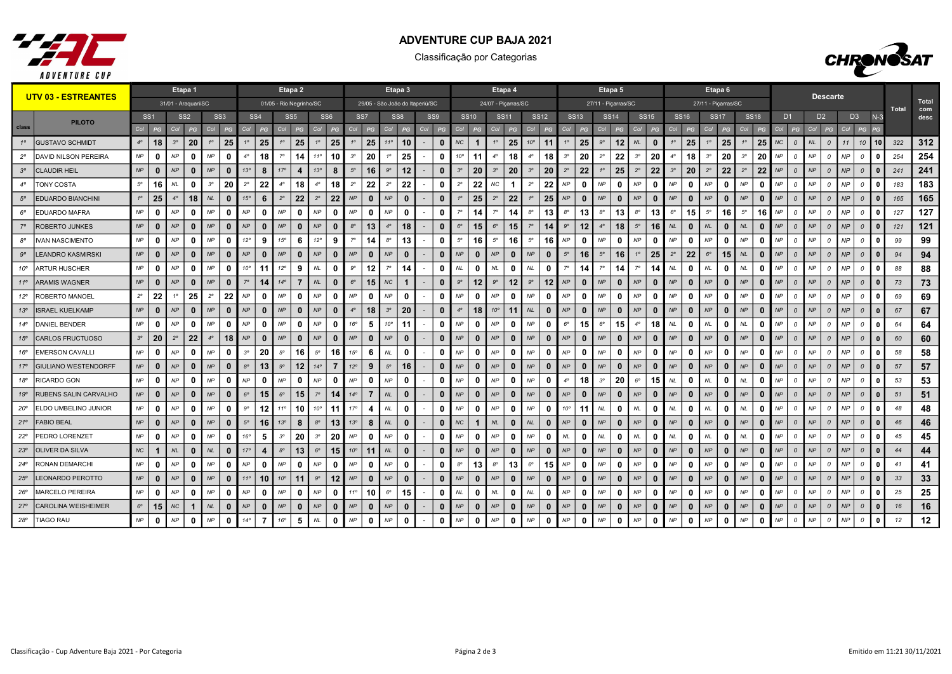

## ADVENTURE CUP BAJA 2021

Classificação por Categorias



|                 | <b>UTV 03 - ESTREANTES</b>  |             |                 |             | Etapa 1                 |             |                 |                 |                 |                         | Etapa 2         |                 |                 |              |                 | Etapa 3         |              |                                 |                 |                      |              |              | Etapa 4             |              |                   |                        | Etapa 5                      |             |              |                  |              | Etapa <sub>6</sub>  |              |             |              |                |                |                |                 |                |                |              |       |                     |
|-----------------|-----------------------------|-------------|-----------------|-------------|-------------------------|-------------|-----------------|-----------------|-----------------|-------------------------|-----------------|-----------------|-----------------|--------------|-----------------|-----------------|--------------|---------------------------------|-----------------|----------------------|--------------|--------------|---------------------|--------------|-------------------|------------------------|------------------------------|-------------|--------------|------------------|--------------|---------------------|--------------|-------------|--------------|----------------|----------------|----------------|-----------------|----------------|----------------|--------------|-------|---------------------|
|                 |                             |             |                 |             | 31/01 - Araquari/SC     |             |                 |                 |                 | 01/05 - Rio Negrinho/SC |                 |                 |                 |              |                 |                 |              | 29/05 - São João do Itaperiú/SC |                 |                      |              |              | 24/07 - Picarras/SC |              |                   |                        | 27/11 - Picarras/SC          |             |              |                  |              | 27/11 - Picarras/SC |              |             |              |                |                |                | <b>Descarte</b> |                |                |              | Total | <b>Total</b><br>com |
|                 | <b>PILOTO</b>               |             | SS <sub>1</sub> |             | SS <sub>2</sub>         |             | SS <sub>3</sub> |                 | SS <sub>4</sub> |                         | SS <sub>5</sub> | SS <sub>6</sub> |                 |              | SS <sub>7</sub> | SS <sub>8</sub> |              |                                 | SS <sub>9</sub> |                      | <b>SS10</b>  |              | <b>SS11</b>         | <b>SS12</b>  |                   | <b>SS13</b>            | <b>SS14</b>                  |             | <b>SS15</b>  | SS <sub>16</sub> |              | <b>SS17</b>         |              | <b>SS18</b> |              | D <sub>1</sub> |                | D <sub>2</sub> |                 | D <sub>3</sub> |                | $N-3$        |       | desc                |
| class           |                             | Col         | PG              | Col         | PG                      | Col         | PG              | Col             | PG              | Col                     | PG              | Col             | PG              | Col          | PG              | Col             | PG           | Col                             | PG              | Col                  | PG           | Col          | PG                  | Col          | PG                | PG<br>Col              | Col<br>PG                    | Col         | PG           | Col              | PG           | Col                 | PG           | Col         | PG           |                | PG             | Col            | PG              | Col            | PG             |              |       |                     |
| $1^{\circ}$     | <b>GUSTAVO SCHMIDT</b>      | $4^\circ$   | 18              | $3^{\circ}$ | 20                      | $1^{\circ}$ | 25              | 10              | 25              | $1^\circ$               | 25              | $1^{\circ}$     | 25              | $1^{\circ}$  | 25              | $11^{\circ}$    | 10           |                                 | $\Omega$        | NC                   | -1           | $1^\circ$    | 25                  | $10^{\circ}$ | 11                | 25<br>10               | $9^{\circ}$<br>12            | NL          | $\mathbf{0}$ | $1^{\circ}$      | 25           | $1^{\circ}$         | 25           | $1^{\circ}$ | 25           | NC             | $\Omega$       | <b>NL</b>      | $\mathcal{O}$   | 11             | 10             | 10           | 322   | 312                 |
| $2^{\circ}$     | <b>DAVID NILSON PEREIRA</b> | NP          | $\mathbf{0}$    | <b>NP</b>   | 0                       | NP          | $\mathbf{0}$    | $4^\circ$       | 18              | 70                      | 14              | 11 <sup>c</sup> | 10              | $3^{\circ}$  | 20              | 10              | 25           |                                 | 0               | $10^{\circ}$         | 11           | $4^\circ$    | 18                  | $4^\circ$    | 18                | 20<br>$3^{\circ}$      | 22<br>$2^{\circ}$            | $3^{\circ}$ | 20           | $4^\circ$        | 18           | 3 <sup>o</sup>      | 20           | $3^{\circ}$ | 20           | <b>NP</b>      | $\mathcal{O}$  | <b>NP</b>      | 0               | <b>NP</b>      | $\mathcal{O}$  |              | 254   | 254                 |
| $3^{\circ}$     | <b>CLAUDIR HEIL</b>         | NP          | $\mathbf{0}$    | NP          | $\mathbf{0}$            | NP          | $\mathbf{0}$    | 13 <sup>o</sup> | 8               | 17°                     |                 | 13°             | 8               | $5^\circ$    | 16              | $9^\circ$       | 12           |                                 | $\bf{0}$        | $3^{\circ}$          | 20           | $3^{\circ}$  | 20                  | $3^{\circ}$  | 20                | 22<br>$2^{\circ}$      | 25<br>10                     | $2^{\circ}$ | 22           | $3^{\circ}$      | 20           | $2^{\circ}$         | 22           | $2^{\circ}$ | 22           | <b>NP</b>      | $\overline{a}$ | NP             | $\mathcal{O}$   | NP             | $\Omega$       |              | 241   | 241                 |
|                 | <b>TONY COSTA</b>           | $5^{\circ}$ | 16              | NL.         | 0                       | $3^{\circ}$ | 20              | $2^{\circ}$     | 22              | $4^\circ$               | 18              | $4^\circ$       | 18              | $2^{\circ}$  | 22              | $2^{\circ}$     | 22           |                                 | 0               | $2^{\circ}$          | 22           | ΝC           |                     | $2^{\circ}$  | 22                | <b>NP</b><br>0         | NP<br>n                      | NP          | 0            | NP               | n            | <b>NP</b>           | 0            | <b>NP</b>   | 0            | <b>NP</b>      | $\Omega$       | <b>NP</b>      | $\Omega$        | NP             | $\overline{a}$ |              | 183   | 183                 |
| $5^{\circ}$     | <b>EDUARDO BIANCHINI</b>    | $1^\circ$   | 25              | $4^\circ$   | 18                      | NL          | $\mathbf{0}$    | 15°             | 6               | $2^{\circ}$             | 22              | $2^{\circ}$     | 22              | NP           | $\mathbf{0}$    | NP              | $\bf{0}$     |                                 | $\mathbf{0}$    | $1^{\circ}$          | 25           | $2^{\circ}$  | 22                  | 10           | 25                | NP<br>$\Omega$         | NP<br>$\mathbf{0}$           | NP          | $\mathbf{0}$ | NP               | $\bf{0}$     | NP                  | $\mathbf{0}$ | NP          | $\mathbf{0}$ | <b>NP</b>      | $\overline{0}$ | NP             | $\mathcal{O}$   | NP             | $\mathcal{O}$  | $\Omega$     | 165   | 165                 |
| $6^{\circ}$     | <b>EDUARDO MAFRA</b>        | NP          | $\mathbf{0}$    | <b>NP</b>   | 0                       | NP          | $\mathbf 0$     | NP              | 0               | NP                      | 0               | NP              | 0               | NP           | $\mathbf{0}$    | NP              | 0            |                                 | 0               | $7^\circ$            | 14           | $7^\circ$    | 14                  | $8^{\circ}$  | 13                | 13<br>$8^{\circ}$      | $8^{\circ}$<br>13            | $8^{\circ}$ | 13           | $6^{\circ}$      | 15           | $5^{\circ}$         | 16           | $5^{\circ}$ | 16           | NP             | $\overline{0}$ | <b>NP</b>      | $\mathcal O$    | NP             | $\mathcal{O}$  | $\Omega$     | 127   | 127                 |
|                 | <b>ROBERTO JUNKES</b>       | NP          | $\bf{0}$        | NP          | 0                       | NP          | $\bf{0}$        | NP              | $\mathbf 0$     | NP                      | $\mathbf{0}$    | NP              | $\mathbf{0}$    | $8^{\circ}$  | 13              | $4^{\circ}$     | 18           |                                 | $\Omega$        | $6^{\circ}$          | 15           | $6^{\circ}$  | 15                  | $7^\circ$    | 14                | $9^{\circ}$<br>$12 \,$ | $4^\circ$<br>18              | $5^{\circ}$ | 16           | $N\!L$           | $\mathbf{0}$ | <b>NL</b>           | $\mathbf{0}$ | <b>NL</b>   | $\bf{0}$     | <b>NP</b>      | $\Omega$       | NP             | $\Omega$        | NP             | $\mathcal{O}$  | n            | 121   | 121                 |
| $8^{\circ}$     | <b>IVAN NASCIMENTO</b>      | NP          | $\mathbf{0}$    | NP          | $\mathbf{0}$            | NP          | $\Omega$        | $12^{\circ}$    | 9               | 15°                     | 6               | $12^{\circ}$    | 9               | $7^\circ$    | 14              | $8^{\circ}$     | 13           |                                 | 0               | $5^{\circ}$          | 16           | $5^\circ$    | 16                  | $5^{\circ}$  | 16                | NP<br>0                | NP<br>$\mathbf{0}$           | NP          | $\mathbf{0}$ | <b>NP</b>        | $\mathbf{0}$ | NP                  | 0            | <b>NP</b>   | $\Omega$     | <b>NP</b>      | $\overline{0}$ | <b>NP</b>      | $\mathcal{O}$   | NP             | $\mathcal{O}$  |              | 99    | 99                  |
| $9^{\circ}$     | <b>LEANDRO KASMIRSKI</b>    | NP          | $\mathbf{0}$    | NP          | 0                       | NP          | $\mathbf{0}$    | <b>NP</b>       | $\bf{0}$        | NP                      | $\mathbf{0}$    | NP              | $\mathbf{0}$    | NP           | $\mathbf{0}$    | NP              | $\mathbf{0}$ |                                 | $\bf{0}$        | NP                   | $\mathbf{0}$ | <b>NP</b>    | $\bf{0}$            | NP           | $\bf{0}$          | $5^{\circ}$<br>16      | $5^{\rm o}$<br>16            | $1^{\circ}$ | 25           | $2^{\circ}$      | 22           | $6^{\circ}$         | 15           | <b>NL</b>   | $\bf{0}$     | <b>NP</b>      | $\Omega$       | NP             | $\Omega$        | NP             | $\mathcal{O}$  |              | 94    | 94                  |
| $10^{\circ}$    | ARTUR HUSCHER               | NP          | $\mathbf{0}$    | NP          | - 0                     | NP          | $\mathbf 0$     | 10 <sup>o</sup> | 11              | 12°                     | 9               | <b>NL</b>       | 0               | $9^{\circ}$  | 12              | $7^\circ$       | 14           |                                 | 0               | NL                   | $\Omega$     | NL           | 0                   | NL           | 0                 | 14                     | $7^\circ$<br>14              | 70          | 14           | NL               | 0            | <b>NL</b>           | 0            | <b>NL</b>   | n            | <b>NP</b>      | $\mathcal{O}$  | <b>NP</b>      | $\Omega$        | <b>NP</b>      | $\Omega$       |              | 88    | 88                  |
| $11^{\circ}$    | <b>ARAMIS WAGNER</b>        | NP          | $\mathbf{0}$    | NP          | $\mathbf{0}$            | NP          | $\Omega$        | $7^\circ$       | 14              | $14^{\circ}$            | $\overline{7}$  | NL              | $\mathbf{0}$    | $6^{\circ}$  | 15              | NC              | $\mathbf{1}$ |                                 | $\bf{0}$        | $9^{\circ}$          | 12           | $9^{\circ}$  | 12                  | $9^{\circ}$  | $12 \overline{ }$ | NP<br>$\mathbf{0}$     | NP<br>$\mathbf{0}$           | NP          | $\mathbf{0}$ | NP               | $\bf{0}$     | NP                  | $\mathbf{0}$ | NP          | $\Omega$     | NP             | $\Omega$       | NP             | $\Omega$        | NP             | $\mathcal{O}$  |              | 73    | 73                  |
| $12^{\circ}$    | ROBERTO MANOEL              | $2^{\circ}$ | 22              | $1^\circ$   | 25                      | $2^{\circ}$ | 22              | NP              | 0               | NP                      | 0               | NP              | 0               | NP           | 0               | NP              | 0            |                                 | 0               | NP                   | $\mathbf{0}$ | <b>NP</b>    | 0                   | <b>NP</b>    | 0                 | NP<br>0                | NP<br>0                      | NP          | 0            | NP               | 0            | NP                  | 0            | NP          | 0            | <b>NP</b>      | $\mathcal{O}$  | NP             | $\mathcal O$    | NP             | $\Omega$       |              | 69    | 69                  |
| 13 <sup>°</sup> | <b>ISRAEL KUELKAMP</b>      | NP          | $\mathbf{0}$    | NP          | 0                       | NP          | $\mathbf{0}$    | <b>NP</b>       | $\mathbf{0}$    | NP                      | $\mathbf{0}$    | NP              | $\mathbf{0}$    | $4^\circ$    | 18              | $3^{\circ}$     | 20           |                                 | $\mathbf 0$     | $4^\circ$            | 18           | $10^{\circ}$ | 11                  | NL           | $\bf{0}$          | NP<br>0                | NP<br>$\mathbf{0}$           | NP          | $\mathbf{0}$ | NP               | $\bf{0}$     | NP                  | $\mathbf{0}$ | NP          | $\mathbf{0}$ | <b>NP</b>      | $\Omega$       | NP             | $\Omega$        | NP             | $\mathcal{O}$  |              | 67    | 67                  |
| $14^{\circ}$    | <b>DANIEL BENDER</b>        | NP          | $\mathbf{0}$    | NP          | 0                       | NP          | $\mathbf 0$     | NP              | 0               | NP                      | 0               | NP              | 0               | 16°          | 5               | $10^{\circ}$    | 11           |                                 | $\mathbf{0}$    | NP                   | $\Omega$     | <b>NP</b>    | 0                   | NP           | 0                 | $6^{\circ}$<br>15      | $6^{\circ}$<br>15            | $4^\circ$   | 18           | <b>NL</b>        | 0            | <b>NL</b>           | 0            | <b>NL</b>   | 0            | <b>NP</b>      | - 0            | NP             | $\mathcal O$    | <b>NP</b>      | $\mathcal{O}$  | - 0          | 64    | 64                  |
| $15^\circ$      | CARLOS FRUCTUOSO            | $3^{\circ}$ | 20              | $2^{\circ}$ | 22                      | $4^\circ$   | 18              | NP              | $\bf{0}$        | NP                      | $\mathbf{0}$    | NP              | $\mathbf{0}$    | NP           | $\mathbf{0}$    | NP              | $\mathbf{0}$ |                                 | $\mathbf{0}$    | NP                   |              | NP           | $\bf{0}$            | NP           | $\mathbf{0}$      | NP<br>$\Omega$         | NP<br>$\mathbf{0}$           | NP          | $\bf{0}$     | NP               | $\mathbf{0}$ | NP                  | $\mathbf{0}$ | NP          | $\bf{0}$     | <b>NP</b>      | $\mathcal{O}$  | NP             | $\Omega$        | NP             | $\mathcal{O}$  |              | 60    | 60                  |
| 16°             | <b>EMERSON CAVALLI</b>      | NP          | $\mathbf{0}$    | <b>NP</b>   | 0                       | NP          | $\Omega$        | 3 <sup>o</sup>  | 20              | $5^{\circ}$             | 16              | $5^{\circ}$     | 16              | 15°          | 6               | $N\!L$          | 0            |                                 | 0               | NP                   | $\Omega$     | <b>NP</b>    | 0                   | NP           | 0                 | NP<br>0                | NP<br>0                      | NP          | $\mathbf{0}$ | <b>NP</b>        | $\bf{0}$     | NP                  | 0            | NP          | $\mathbf{0}$ | <b>NP</b>      | $\mathcal{O}$  | <b>NP</b>      | $\Omega$        | NP             | $\Omega$       |              | 58    | 58                  |
| $17^{\circ}$    | <b>GIULIANO WESTENDORFF</b> | NP          | $\bf{0}$        | NP          | 0                       | NP          | $\mathbf{0}$    | $8^{\circ}$     | 13              | $9^{\circ}$             | $12 \,$         | $14^\circ$      | $\overline{7}$  | $12^{\circ}$ | 9               | $5^\circ$       | 16           |                                 | $\mathbf 0$     | NP                   | $\mathbf{0}$ | <b>NP</b>    | $\bf{0}$            | NP           | $\bf{0}$          | NP<br>0                | NP<br>$\mathbf{0}$           | NP          | $\bf{0}$     | NP               | $\bf{0}$     | NP                  | $\mathbf{0}$ | NP          | $\mathbf{0}$ | <b>NP</b>      | $\overline{0}$ | NP             | $\overline{0}$  | NP             | $\mathcal{O}$  | $\mathbf{0}$ | 57    | 57                  |
| 18°             | RICARDO GON                 | NP          | $\mathbf{0}$    | NP          | - 0                     | NP          | $\mathbf 0$     | NP              | 0               | NP                      | n               | NP              | $\Omega$        | NP           | $\Omega$        | NP              | 0            |                                 | 0               | NP                   |              | <b>NP</b>    | 0                   | <b>NP</b>    | n                 | 18<br>$4^\circ$        | $3^{\circ}$<br>20            | $6^{\circ}$ | 15           | $N\!L$           | n            | <b>NL</b>           | 0            | <b>NL</b>   | n            | <b>NP</b>      | $\mathcal{O}$  | <b>NP</b>      | 0               | <b>NP</b>      | $\Omega$       |              | 53    | 53                  |
| 19°             | RUBENS SALIN CARVALHO       | NP          | $\mathbf{0}$    | NP          | $\mathbf{0}$            | NP          | $\mathbf{0}$    | $6^{\circ}$     | 15              | $6^{\circ}$             | 15              | $7^\circ$       | 14              | $14^\circ$   | $\overline{7}$  | NL              | $\mathbf{0}$ |                                 | $\bf{0}$        | NP                   | $\mathbf{0}$ | <b>NP</b>    | $\bf{0}$            | NP           | $\mathbf{0}$      | NP<br>0                | NP<br>$\bf{0}$               | NP          | $\mathbf{0}$ | NP               | $\mathbf{0}$ | NP                  | $\mathbf{0}$ | NP          | $\mathbf{0}$ | <b>NP</b>      | $\Omega$       | NP             | $\Omega$        | NP             | $\mathcal{O}$  | n            | 51    | 51                  |
| $20^{\circ}$    | ELDO UMBELINO JUNIOR        | NP          | $\mathbf{0}$    | NP          | 0                       | NP          | $\mathbf 0$     | $9^{\circ}$     | 12              | $11^{\circ}$            | 10              | $10^{\circ}$    | 11              | $17^{\circ}$ | 4               | <b>NL</b>       | 0            |                                 | $\mathbf 0$     | NP                   | $\Omega$     | <b>NP</b>    | 0                   | NP           | 0                 | $10^{\circ}$<br>11     | <b>NL</b><br>0               | <b>NL</b>   | $\mathbf{0}$ | <b>NL</b>        | 0            | <b>NL</b>           | 0            | NL          | 0            | <b>NP</b>      | $\mathcal{O}$  | NP             | $\mathcal O$    | NP             | $\mathcal O$   | $\Omega$     | 48    | 48                  |
| $21^{\circ}$    | <b>FABIO BEAL</b>           | NP          | $\bf{0}$        | NP          | -0                      | NP          | $\bf{0}$        | $5^\circ$       | 16              | 13 <sup>o</sup>         | 8               | 8 <sup>c</sup>  | 13              | 13°          | 8               | NL              | $\mathbf{0}$ |                                 | $\Omega$        | NC                   | -1           | <b>NL</b>    | $\bf{0}$            | NL           | n                 | NP<br>0                | NP<br>$\bf{0}$               | NP          | $\Omega$     | NP               | $\bf{0}$     | NP                  | $\mathbf{0}$ | NP          | $\bf{0}$     | <b>NP</b>      | $\Omega$       | NP             | $\Omega$        | NP             | $\Omega$       |              | 46    | 46                  |
| $22^{\circ}$    | PEDRO LORENZET              | NP          | $\mathbf{0}$    | NP          | 0                       | NP          | $\Omega$        | 16°             | 5               | $3^{\circ}$             | 20              | $3^{\circ}$     | 20              | NP           | $\mathbf{0}$    | NP              | $\mathbf{0}$ |                                 | 0               | NP                   | n            | <b>NP</b>    | 0                   | <b>NP</b>    | $\mathbf{0}$      | NL<br>0                | NL<br>0                      | NL          | $\mathbf{0}$ | $N\!L$           | $\mathbf{0}$ | $N\!L$              | $\mathbf{0}$ | <b>NL</b>   | 0            | <b>NP</b>      | $\mathcal{O}$  | NP             | 0               | NP             | $\mathcal{O}$  |              | 45    | 45                  |
| 23 <sup>o</sup> | <b>OLIVER DA SILVA</b>      | NC          | $\mathbf{1}$    | NL          | 0                       | NL          | $\mathbf{0}$    | $17^{\circ}$    | 4               | $8^{\circ}$             | 13              | $6^{\circ}$     | 15 <sup>1</sup> | $10^{\circ}$ | 11              | NL              | 0            |                                 | $\bf{0}$        | NP                   |              | <b>NP</b>    | $\mathbf 0$         | NP           | $\mathbf{0}$      | NP<br>0                | NP<br>$\mathbf{0}$           | NP          | $\Omega$     | NP               | $\mathbf{0}$ | NP                  | $\mathbf{0}$ | NP          | $\bf{0}$     | NP             | $\mathcal{O}$  | NP             | $\mathcal{O}$   | NP             | $\Omega$       |              | 44    | 44                  |
| $24^{\circ}$    | RONAN DEMARCHI              | NP          | $\mathbf{0}$    | NP          | - 0                     | NP          | $\Omega$        | <b>NP</b>       | 0               | <b>NP</b>               | 0               | <b>NP</b>       | 0               | NP           | <sup>0</sup>    | NP              | 0            |                                 | 0               | $8^{\circ}$          | 13           | $8^{\circ}$  | 13                  | $6^{\circ}$  | 15                | NP<br>- 0              | NP<br>0                      | NP          | 0            | NP               | 0            | NP                  | 0            | NP          | 0            | <b>NP</b>      | $\Omega$       | NP             | $\mathcal{O}$   | NP             | $\mathcal{O}$  |              | 41    | 41                  |
| 25°             | <b>LEONARDO PEROTTO</b>     | NP          | $\mathbf{0}$    | NP          | $\mathbf{0}$            | NP          | $\mathbf{0}$    | $11^{\circ}$    | 10              | 10 <sup>o</sup>         | 11              | $9^{\circ}$     | 12              | NP           | $\mathbf{0}$    | NP              | $\bf{0}$     |                                 | $\mathbf{0}$    | NP                   | $\Omega$     | <b>NP</b>    | $\bf{0}$            | NP           | $\mathbf{0}$      | NP<br>$\Omega$         | NP<br>$\mathbf{0}$           | NP          | $\bf{0}$     | NP               | $\mathbf{0}$ | NP                  | $\mathbf{0}$ | NP          | $\mathbf{0}$ | <b>NP</b>      | $\Omega$       | NP             | $\Omega$        | NP             | $\mathcal{O}$  |              | 33    | 33                  |
| $26^{\circ}$    | MARCELO PEREIRA             | NP          | $\mathbf{0}$    | <b>NP</b>   | 0                       | NP          | $\mathbf{0}$    | NP              | $\mathbf{0}$    | NP                      | 0               | NP              | 0               | $11^{\circ}$ | 10              | $6^{\circ}$     | 15           |                                 | 0               | $\mathsf{NL}\xspace$ | 0            | <b>NL</b>    | 0                   | NL           | 0                 | NP<br>0                | NP<br>0                      | NP          | $\mathbf{0}$ | NP               | 0            | NP                  | 0            | NP          | 0            | <b>NP</b>      | $\mathcal{O}$  | NP             | 0               | <b>NP</b>      | $\mathcal{O}$  |              | 25    | 25                  |
| $27^{\circ}$    | <b>CAROLINA WEISHEIMER</b>  | $6^{\circ}$ | 15              | <b>NC</b>   | $\overline{\mathbf{1}}$ | NL          | $\bf{0}$        | <b>NP</b>       | 0               | NP                      | $\bf{0}$        | NP              | $\bf{0}$        | NP           | $\bf{0}$        | NP              | $\bf{0}$     |                                 | 0               | NP                   | $\bf{0}$     | <b>NP</b>    | 0                   | NP           | $\bf{0}$          | NP<br>0                | NP<br>$\mathbf{0}$           | NP          | $\bf{0}$     | NP               | $\mathbf{0}$ | NP                  | $\mathbf{0}$ | NP          | $\bf{0}$     | <b>NP</b>      | $\overline{a}$ | NP             | $\Omega$        | NP             | $\Omega$       |              | 16    | 16                  |
| $28^{\circ}$    | <b>TIAGO RAU</b>            | NP          | $\mathbf 0$     | NP          | 0                       | NP          | $\mathbf 0$     | $14^{\circ}$    | $\overline{7}$  | 16°                     | 5               | NL              | 0               | NP           | 0               | NP              | 0            |                                 | 0               | NP                   | $\Omega$     | <b>NP</b>    | 0                   | NP           | 0                 | NP<br>0                | $\mathsf{NP}$<br>$\mathbf 0$ | NP          | $\mathbf 0$  | <b>NP</b>        | $\bf{0}$     | NP                  | $\mathbf 0$  | NP          | 0            | NP             | $\Omega$       | NP             | $\mathcal O$    | NP             | $\mathcal{O}$  | $\Omega$     | 12    | 12                  |